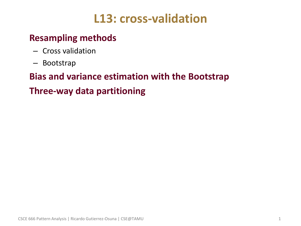# **L13: cross-validation**

## • **Resampling methods**

- Cross validation
- Bootstrap

## • **Bias and variance estimation with the Bootstrap**

## • **Three-way data partitioning**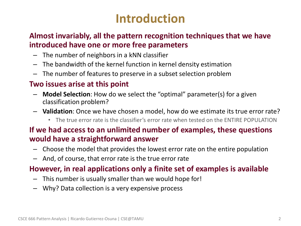# **Introduction**

#### • **Almost invariably, all the pattern recognition techniques that we have introduced have one or more free parameters**

- The number of neighbors in a kNN classifier
- The bandwidth of the kernel function in kernel density estimation
- The number of features to preserve in a subset selection problem

#### • **Two issues arise at this point**

- **Model Selection**: How do we select the "optimal" parameter(s) for a given classification problem?
- **Validation**: Once we have chosen a model, how do we estimate its true error rate?
	- The true error rate is the classifier's error rate when tested on the ENTIRE POPULATION

#### • **If we had access to an unlimited number of examples, these questions would have a straightforward answer**

- Choose the model that provides the lowest error rate on the entire population
- And, of course, that error rate is the true error rate

#### • **However, in real applications only a finite set of examples is available**

- This number is usually smaller than we would hope for!
- Why? Data collection is a very expensive process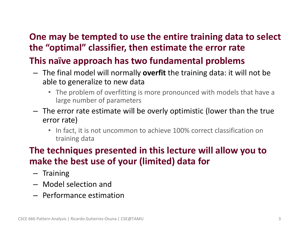## • **One may be tempted to use the entire training data to select the "optimal" classifier, then estimate the error rate**

## • **This naïve approach has two fundamental problems**

- The final model will normally **overfit** the training data: it will not be able to generalize to new data
	- The problem of overfitting is more pronounced with models that have a large number of parameters
- The error rate estimate will be overly optimistic (lower than the true error rate)
	- In fact, it is not uncommon to achieve 100% correct classification on training data

## • **The techniques presented in this lecture will allow you to make the best use of your (limited) data for**

- Training
- Model selection and
- Performance estimation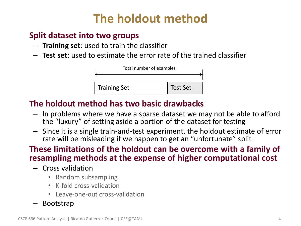# **The holdout method**

### • **Split dataset into two groups**

- **Training set**: used to train the classifier
- **Test set**: used to estimate the error rate of the trained classifier



### • **The holdout method has two basic drawbacks**

- In problems where we have a sparse dataset we may not be able to afford the "luxury" of setting aside a portion of the dataset for testing
- Since it is a single train-and-test experiment, the holdout estimate of error rate will be misleading if we happen to get an "unfortunate" split

### • **These limitations of the holdout can be overcome with a family of resampling methods at the expense of higher computational cost**

- Cross validation
	- Random subsampling
	- K-fold cross-validation
	- Leave-one-out cross-validation
- Bootstrap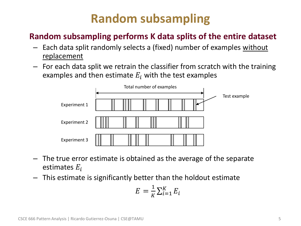# **Random subsampling**

## • **Random subsampling performs K data splits of the entire dataset**

- Each data split randomly selects a (fixed) number of examples without replacement
- For each data split we retrain the classifier from scratch with the training examples and then estimate  $E_i$  with the test examples



- The true error estimate is obtained as the average of the separate estimates  $E_i$
- This estimate is significantly better than the holdout estimate

$$
E = \frac{1}{K} \sum_{i=1}^{K} E_i
$$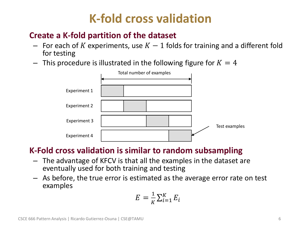# **K-fold cross validation**

### • **Create a K-fold partition of the dataset**

- For each of K experiments, use  $K-1$  folds for training and a different fold for testing
- $-$  This procedure is illustrated in the following figure for  $K = 4$



### • **K-Fold cross validation is similar to random subsampling**

- The advantage of KFCV is that all the examples in the dataset are eventually used for both training and testing
- As before, the true error is estimated as the average error rate on test examples

$$
E = \frac{1}{K} \sum_{i=1}^{K} E_i
$$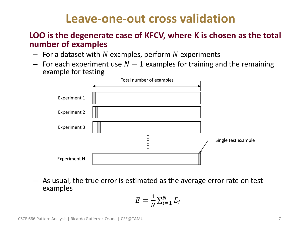## **Leave-one-out cross validation**

#### • **LOO is the degenerate case of KFCV, where K is chosen as the total number of examples**

- $-$  For a dataset with N examples, perform N experiments
- $-$  For each experiment use  $N-1$  examples for training and the remaining example for testing



– As usual, the true error is estimated as the average error rate on test examples

$$
E = \frac{1}{N} \sum_{i=1}^{N} E_i
$$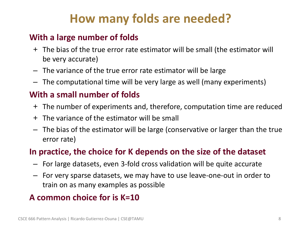# **How many folds are needed?**

### • **With a large number of folds**

- + The bias of the true error rate estimator will be small (the estimator will be very accurate)
- The variance of the true error rate estimator will be large
- The computational time will be very large as well (many experiments)

### • **With a small number of folds**

- + The number of experiments and, therefore, computation time are reduced
- + The variance of the estimator will be small
- The bias of the estimator will be large (conservative or larger than the true error rate)

### • **In practice, the choice for K depends on the size of the dataset**

- For large datasets, even 3-fold cross validation will be quite accurate
- For very sparse datasets, we may have to use leave-one-out in order to train on as many examples as possible

### • **A common choice for is K=10**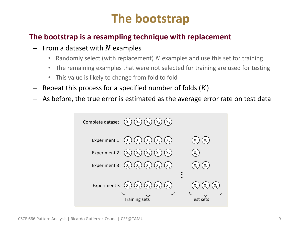# **The bootstrap**

#### • **The bootstrap is a resampling technique with replacement**

- $-$  From a dataset with N examples
	- Randomly select (with replacement)  $N$  examples and use this set for training
	- The remaining examples that were not selected for training are used for testing
	- This value is likely to change from fold to fold
- Repeat this process for a specified number of folds  $(K)$
- As before, the true error is estimated as the average error rate on test data

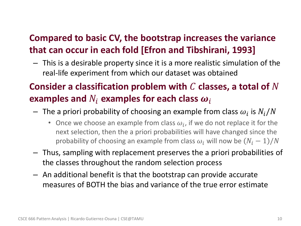## • **Compared to basic CV, the bootstrap increases the variance that can occur in each fold [Efron and Tibshirani, 1993]**

– This is a desirable property since it is a more realistic simulation of the real-life experiment from which our dataset was obtained

## **Consider a classification problem with**  $C$  classes, a total of  $N$ examples and  $N_i$  examples for each class  $\boldsymbol{\omega}_i$

- $-$  The a priori probability of choosing an example from class  $\omega_i$  is  $N_i/N$ 
	- Once we choose an example from class  $\omega_i$ , if we do not replace it for the next selection, then the a priori probabilities will have changed since the probability of choosing an example from class  $\omega_i$  will now be  $(N_i - 1)/N$
- Thus, sampling with replacement preserves the a priori probabilities of the classes throughout the random selection process
- An additional benefit is that the bootstrap can provide accurate measures of BOTH the bias and variance of the true error estimate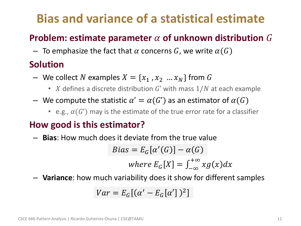# **Bias and variance of a statistical estimate**

## **Problem: estimate parameter**  $\alpha$  **of unknown distribution**  $G$

 $-$  To emphasize the fact that  $\alpha$  concerns  $G$ , we write  $\alpha(G)$ 

## • **Solution**

- We collect N examples  $X = \{x_1, x_2, ..., x_N\}$  from G
	- X defines a discrete distribution  $G'$  with mass  $1/N$  at each example
- $-$  We compute the statistic  $\alpha' = \alpha(G')$  as an estimator of  $\alpha(G)$ 
	- e.g.,  $\alpha(G')$  may is the estimate of the true error rate for a classifier

## • **How good is this estimator?**

– **Bias**: How much does it deviate from the true value

$$
Bias = E_G[\alpha'(G)] - \alpha(G)
$$
  
where  $E_G[X] = \int_{-\infty}^{+\infty} x g(x) dx$ 

– **Variance**: how much variability does it show for different samples

$$
Var = E_G[(\alpha' - E_G[\alpha'])^2]
$$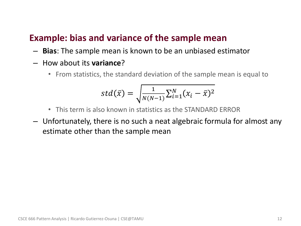### • **Example: bias and variance of the sample mean**

- **Bias**: The sample mean is known to be an unbiased estimator
- How about its **variance**?
	- From statistics, the standard deviation of the sample mean is equal to

$$
std(\bar{x}) = \sqrt{\frac{1}{N(N-1)}\sum_{i=1}^{N}(x_i - \bar{x})^2}
$$

- This term is also known in statistics as the STANDARD ERROR
- Unfortunately, there is no such a neat algebraic formula for almost any estimate other than the sample mean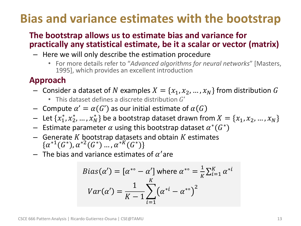# **Bias and variance estimates with the bootstrap**

### • **The bootstrap allows us to estimate bias and variance for practically any statistical estimate, be it a scalar or vector (matrix)**

- Here we will only describe the estimation procedure
	- For more details refer to "*Advanced algorithms for neural networks*" [Masters, 1995], which provides an excellent introduction

## • **Approach**

- Consider a dataset of N examples  $X = \{x_1, x_2, ..., x_N\}$  from distribution G
	- This dataset defines a discrete distribution  $G'$
- $-$  Compute  $\alpha' = \alpha(G')$  as our initial estimate of  $\alpha(G)$
- $-$  Let  $\{x_{1}^{*}, x_{2}^{*}, ..., x_{N}^{*}\}$  be a bootstrap dataset drawn from  $X = \{x_{1}, x_{2}, ..., x_{N}\}$
- $-$  Estimate parameter  $\alpha$  using this bootstrap dataset  $\alpha^*(G^*)$
- Generate K bootstrap datasets and obtain K estimates  $\{\alpha^{*1}(G^*), \alpha^{*2}(G^*)\dots, \alpha^{*K}(G^*)\}$
- $-$  The bias and variance estimates of  $\alpha'$ are

$$
Bias(\alpha') = [\alpha^{*} - \alpha'] \text{ where } \alpha^{*} = \frac{1}{K} \sum_{i=1}^{K} \alpha^{*i}
$$

$$
Var(\alpha') = \frac{1}{K - 1} \sum_{i=1}^{K} (\alpha^{*i} - \alpha^{*})^2
$$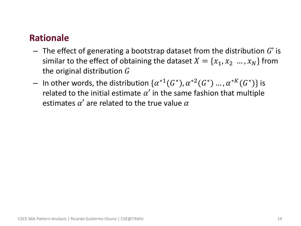### • **Rationale**

- $-$  The effect of generating a bootstrap dataset from the distribution G' is similar to the effect of obtaining the dataset  $X = \{x_1, x_2, ..., x_N\}$  from the original distribution  $G$
- $-$  In other words, the distribution  $\{\alpha^{*1}(G^*),\alpha^{*2}(G^*)$  ... ,  $\alpha^{*K}(G^*)\}$  is related to the initial estimate  $\alpha'$  in the same fashion that multiple estimates  $\alpha'$  are related to the true value  $\alpha$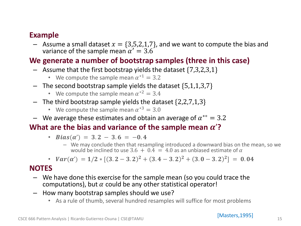#### • **Example**

- Assume a small dataset  $x = \{3,5,2,1,7\}$ , and we want to compute the bias and variance of the sample mean  $\alpha' = 3.6$ 

#### • **We generate a number of bootstrap samples (three in this case)**

- $-$  Assume that the first bootstrap yields the dataset  $\{7,3,2,3,1\}$ 
	- We compute the sample mean  $\alpha^{*1} = 3.2$
- $-$  The second bootstrap sample yields the dataset {5,1,1,3,7}
	- We compute the sample mean  $\alpha^{*2} = 3.4$
- $-$  The third bootstrap sample yields the dataset  $\{2,2,7,1,3\}$ 
	- We compute the sample mean  $\alpha^{*3} = 3.0$
- $-$  We average these estimates and obtain an average of  $\alpha^{* \circ} = 3.2$

#### What are the bias and variance of the sample mean  $\alpha$ '?

- $Bias(\alpha') = 3.2 3.6 = -0.4$ 
	- We may conclude then that resampling introduced a downward bias on the mean, so we would be inclined to use 3.6 +  $0.4 = 4.0$  as an unbiased estimate of  $\alpha$
- $Var(\alpha') = 1/2 * [(3.2 3.2)^2 + (3.4 3.2)^2 + (3.0 3.2)^2] = 0.04$

#### • **NOTES**

- We have done this exercise for the sample mean (so you could trace the computations), but  $\alpha$  could be any other statistical operator!
- How many bootstrap samples should we use?
	- As a rule of thumb, several hundred resamples will suffice for most problems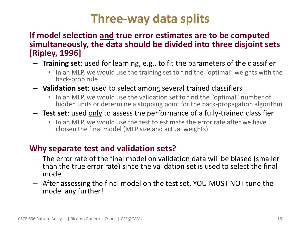# **Three-way data splits**

#### • **If model selection and true error estimates are to be computed simultaneously, the data should be divided into three disjoint sets [Ripley, 1996]**

- **Training set**: used for learning, e.g., to fit the parameters of the classifier
	- In an MLP, we would use the training set to find the "optimal" weights with the back-prop rule
- **Validation set**: used to select among several trained classifiers
	- In an MLP, we would use the validation set to find the "optimal" number of hidden units or determine a stopping point for the back-propagation algorithm
- **Test set**: used only to assess the performance of a fully-trained classifier
	- In an MLP, we would use the test to estimate the error rate after we have chosen the final model (MLP size and actual weights)

### • **Why separate test and validation sets?**

- The error rate of the final model on validation data will be biased (smaller than the true error rate) since the validation set is used to select the final model
- After assessing the final model on the test set, YOU MUST NOT tune the model any further!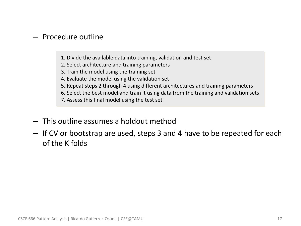#### – Procedure outline

- 1. Divide the available data into training, validation and test set
- 2. Select architecture and training parameters
- 3. Train the model using the training set
- 4. Evaluate the model using the validation set
- 5. Repeat steps 2 through 4 using different architectures and training parameters
- 6. Select the best model and train it using data from the training and validation sets
- 7. Assess this final model using the test set
- This outline assumes a holdout method
- If CV or bootstrap are used, steps 3 and 4 have to be repeated for each of the K folds